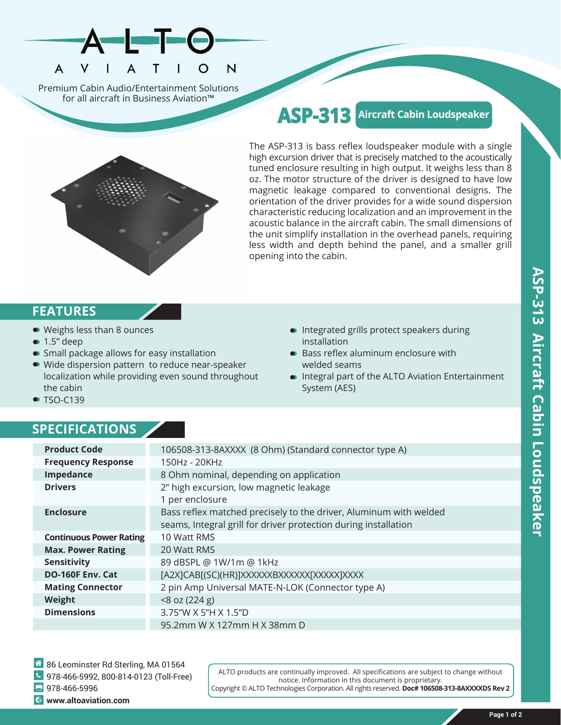

Premium Cabin Audio/Entertainment Solutions for all aircraft in Business Aviation™

## **ASP-313 Aircraft Cabin Loudspeaker**

The ASP-313 is bass reflex loudspeaker module with a single high excursion driver that is precisely matched to the acoustically tuned enclosure resulting in high output. It weighs less than 8 oz. The motor structure of the driver is designed to have low magnetic leakage compared to conventional designs. The orientation of the driver provides for a wide sound dispersion characteristic reducing localization and an improvement in the acoustic balance in the aircraft cabin. The small dimensions of the unit simplify installation in the overhead panels, requiring less width and depth behind the panel, and a smaller grill opening into the cabin.

## **FEATURES**

- Weighs less than 8 ounces
- $\bullet$  1.5" deep
- Small package allows for easy installation
- Wide dispersion pattern to reduce near-speaker localization while providing even sound throughout the cabin
- Integrated grills protect speakers during installation
- Bass reflex aluminum enclosure with welded seams
- Integral part of the ALTO Aviation Entertainment System (AES)

• TSO-C139

## **SPECIFICATIONS**

| <b>Product Code</b>            | 106508-313-8AXXXX (8 Ohm) (Standard connector type A)             |
|--------------------------------|-------------------------------------------------------------------|
| <b>Frequency Response</b>      | 150Hz - 20KHz                                                     |
| Impedance                      | 8 Ohm nominal, depending on application                           |
| <b>Drivers</b>                 | 2" high excursion, low magnetic leakage                           |
|                                | 1 per enclosure                                                   |
| <b>Enclosure</b>               | Bass reflex matched precisely to the driver, Aluminum with welded |
|                                | seams, Integral grill for driver protection during installation   |
| <b>Continuous Power Rating</b> | 10 Watt RMS                                                       |
| <b>Max. Power Rating</b>       | 20 Watt RMS                                                       |
| Sensitivity                    | 89 dBSPL @ 1W/1m @ 1kHz                                           |
| <b>DO-160F Env. Cat</b>        | [A2X]CAB[(SC)(HR)]XXXXXXBXXXXXX[XXXXX]XXXX                        |
| <b>Mating Connector</b>        | 2 pin Amp Universal MATE-N-LOK (Connector type A)                 |
| Weight                         | $<8$ oz (224 g)                                                   |
| <b>Dimensions</b>              | 3.75"W X 5"H X 1.5"D                                              |
|                                | 95.2mm W X 127mm H X 38mm D                                       |

86 Leominster Rd Sterling, MA 01564 978-466-5992, 800-814-0123 (Toll-Free)  $978-466-5996$ **www.altoaviation.com**

ALTO products are continually improved. All specifications are subject to change without notice. Information in this document is proprietary. Copyright © ALTO Technologies Corporation. All rights reserved. **Doc# 106508-313-8AXXXXDS Rev 2**